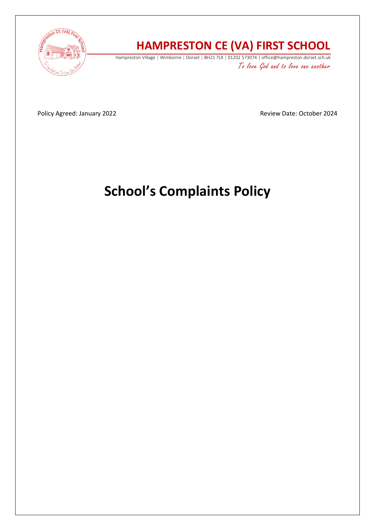

# **HAMPRESTON CE (VA) FIRST SCHOOL**

Hampreston Village | Wimborne | Dorset | BH21 7LX | 01202 573074 | office@hampreston.dorset.sch.uk To love God and to love one another

Policy Agreed: January 2022 **Review Date: October 2024** Review Date: October 2024

# **School's Complaints Policy**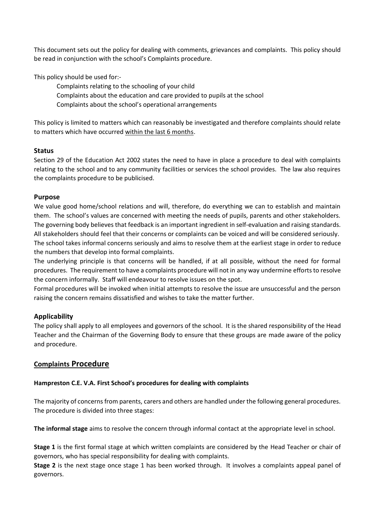This document sets out the policy for dealing with comments, grievances and complaints. This policy should be read in conjunction with the school's Complaints procedure.

This policy should be used for:-

to matters which have occurred within the last 6 months.

Complaints relating to the schooling of your child Complaints about the education and care provided to pupils at the school Complaints about the school's operational arrangements

This policy is limited to matters which can reasonably be investigated and therefore complaints should relate

### **Status**

Section 29 of the Education Act 2002 states the need to have in place a procedure to deal with complaints relating to the school and to any community facilities or services the school provides. The law also requires the complaints procedure to be publicised.

#### **Purpose**

We value good home/school relations and will, therefore, do everything we can to establish and maintain them. The school's values are concerned with meeting the needs of pupils, parents and other stakeholders. The governing body believes that feedback is an important ingredient in self-evaluation and raising standards. All stakeholders should feel that their concerns or complaints can be voiced and will be considered seriously. The school takes informal concerns seriously and aims to resolve them at the earliest stage in order to reduce the numbers that develop into formal complaints.

The underlying principle is that concerns will be handled, if at all possible, without the need for formal procedures. The requirement to have a complaints procedure will not in any way undermine efforts to resolve the concern informally. Staff will endeavour to resolve issues on the spot.

Formal procedures will be invoked when initial attempts to resolve the issue are unsuccessful and the person raising the concern remains dissatisfied and wishes to take the matter further.

# **Applicability**

The policy shall apply to all employees and governors of the school. It is the shared responsibility of the Head Teacher and the Chairman of the Governing Body to ensure that these groups are made aware of the policy and procedure.

# **Complaints Procedure**

#### **Hampreston C.E. V.A. First School's procedures for dealing with complaints**

The majority of concerns from parents, carers and others are handled under the following general procedures. The procedure is divided into three stages:

**The informal stage** aims to resolve the concern through informal contact at the appropriate level in school.

**Stage 1** is the first formal stage at which written complaints are considered by the Head Teacher or chair of governors, who has special responsibility for dealing with complaints.

**Stage 2** is the next stage once stage 1 has been worked through. It involves a complaints appeal panel of governors.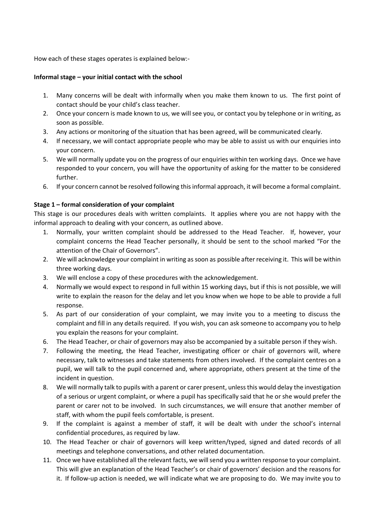How each of these stages operates is explained below:-

#### **Informal stage – your initial contact with the school**

- 1. Many concerns will be dealt with informally when you make them known to us. The first point of contact should be your child's class teacher.
- 2. Once your concern is made known to us, we will see you, or contact you by telephone or in writing, as soon as possible.
- 3. Any actions or monitoring of the situation that has been agreed, will be communicated clearly.
- 4. If necessary, we will contact appropriate people who may be able to assist us with our enquiries into your concern.
- 5. We will normally update you on the progress of our enquiries within ten working days. Once we have responded to your concern, you will have the opportunity of asking for the matter to be considered further.
- 6. If your concern cannot be resolved following this informal approach, it will become a formal complaint.

#### **Stage 1 – formal consideration of your complaint**

This stage is our procedures deals with written complaints. It applies where you are not happy with the informal approach to dealing with your concern, as outlined above.

- 1. Normally, your written complaint should be addressed to the Head Teacher. If, however, your complaint concerns the Head Teacher personally, it should be sent to the school marked "For the attention of the Chair of Governors".
- 2. We will acknowledge your complaint in writing as soon as possible after receiving it. This will be within three working days.
- 3. We will enclose a copy of these procedures with the acknowledgement.
- 4. Normally we would expect to respond in full within 15 working days, but if this is not possible, we will write to explain the reason for the delay and let you know when we hope to be able to provide a full response.
- 5. As part of our consideration of your complaint, we may invite you to a meeting to discuss the complaint and fill in any details required. If you wish, you can ask someone to accompany you to help you explain the reasons for your complaint.
- 6. The Head Teacher, or chair of governors may also be accompanied by a suitable person if they wish.
- 7. Following the meeting, the Head Teacher, investigating officer or chair of governors will, where necessary, talk to witnesses and take statements from others involved. If the complaint centres on a pupil, we will talk to the pupil concerned and, where appropriate, others present at the time of the incident in question.
- 8. We will normally talk to pupils with a parent or carer present, unless this would delay the investigation of a serious or urgent complaint, or where a pupil has specifically said that he or she would prefer the parent or carer not to be involved. In such circumstances, we will ensure that another member of staff, with whom the pupil feels comfortable, is present.
- 9. If the complaint is against a member of staff, it will be dealt with under the school's internal confidential procedures, as required by law.
- 10. The Head Teacher or chair of governors will keep written/typed, signed and dated records of all meetings and telephone conversations, and other related documentation.
- 11. Once we have established all the relevant facts, we will send you a written response to your complaint. This will give an explanation of the Head Teacher's or chair of governors' decision and the reasons for it. If follow-up action is needed, we will indicate what we are proposing to do. We may invite you to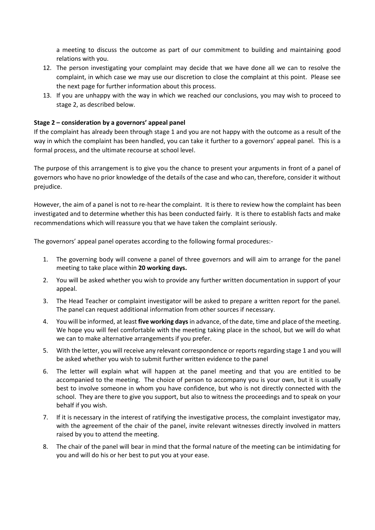a meeting to discuss the outcome as part of our commitment to building and maintaining good relations with you.

- 12. The person investigating your complaint may decide that we have done all we can to resolve the complaint, in which case we may use our discretion to close the complaint at this point. Please see the next page for further information about this process.
- 13. If you are unhappy with the way in which we reached our conclusions, you may wish to proceed to stage 2, as described below.

#### **Stage 2 – consideration by a governors' appeal panel**

If the complaint has already been through stage 1 and you are not happy with the outcome as a result of the way in which the complaint has been handled, you can take it further to a governors' appeal panel. This is a formal process, and the ultimate recourse at school level.

The purpose of this arrangement is to give you the chance to present your arguments in front of a panel of governors who have no prior knowledge of the details of the case and who can, therefore, consider it without prejudice.

However, the aim of a panel is not to re-hear the complaint. It is there to review how the complaint has been investigated and to determine whether this has been conducted fairly. It is there to establish facts and make recommendations which will reassure you that we have taken the complaint seriously.

The governors' appeal panel operates according to the following formal procedures:-

- 1. The governing body will convene a panel of three governors and will aim to arrange for the panel meeting to take place within **20 working days.**
- 2. You will be asked whether you wish to provide any further written documentation in support of your appeal.
- 3. The Head Teacher or complaint investigator will be asked to prepare a written report for the panel. The panel can request additional information from other sources if necessary.
- 4. You will be informed, at least **five working days** in advance, of the date, time and place of the meeting. We hope you will feel comfortable with the meeting taking place in the school, but we will do what we can to make alternative arrangements if you prefer.
- 5. With the letter, you will receive any relevant correspondence or reports regarding stage 1 and you will be asked whether you wish to submit further written evidence to the panel
- 6. The letter will explain what will happen at the panel meeting and that you are entitled to be accompanied to the meeting. The choice of person to accompany you is your own, but it is usually best to involve someone in whom you have confidence, but who is not directly connected with the school. They are there to give you support, but also to witness the proceedings and to speak on your behalf if you wish.
- 7. If it is necessary in the interest of ratifying the investigative process, the complaint investigator may, with the agreement of the chair of the panel, invite relevant witnesses directly involved in matters raised by you to attend the meeting.
- 8. The chair of the panel will bear in mind that the formal nature of the meeting can be intimidating for you and will do his or her best to put you at your ease.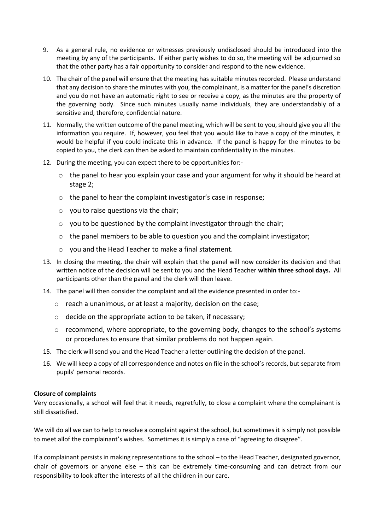- 9. As a general rule, no evidence or witnesses previously undisclosed should be introduced into the meeting by any of the participants. If either party wishes to do so, the meeting will be adjourned so that the other party has a fair opportunity to consider and respond to the new evidence.
- 10. The chair of the panel will ensure that the meeting has suitable minutes recorded. Please understand that any decision to share the minutes with you, the complainant, is a matter for the panel's discretion and you do not have an automatic right to see or receive a copy, as the minutes are the property of the governing body. Since such minutes usually name individuals, they are understandably of a sensitive and, therefore, confidential nature.
- 11. Normally, the written outcome of the panel meeting, which will be sent to you, should give you all the information you require. If, however, you feel that you would like to have a copy of the minutes, it would be helpful if you could indicate this in advance. If the panel is happy for the minutes to be copied to you, the clerk can then be asked to maintain confidentiality in the minutes.
- 12. During the meeting, you can expect there to be opportunities for:
	- o the panel to hear you explain your case and your argument for why it should be heard at stage 2;
	- o the panel to hear the complaint investigator's case in response;
	- $\circ$  you to raise questions via the chair;
	- o you to be questioned by the complaint investigator through the chair;
	- $\circ$  the panel members to be able to question you and the complaint investigator;
	- o you and the Head Teacher to make a final statement.
- 13. In closing the meeting, the chair will explain that the panel will now consider its decision and that written notice of the decision will be sent to you and the Head Teacher **within three school days.** All participants other than the panel and the clerk will then leave.
- 14. The panel will then consider the complaint and all the evidence presented in order to:
	- o reach a unanimous, or at least a majority, decision on the case;
	- o decide on the appropriate action to be taken, if necessary;
	- $\circ$  recommend, where appropriate, to the governing body, changes to the school's systems or procedures to ensure that similar problems do not happen again.
- 15. The clerk will send you and the Head Teacher a letter outlining the decision of the panel.
- 16. We will keep a copy of all correspondence and notes on file in the school's records, but separate from pupils' personal records.

#### **Closure of complaints**

Very occasionally, a school will feel that it needs, regretfully, to close a complaint where the complainant is still dissatisfied.

We will do all we can to help to resolve a complaint against the school, but sometimes it is simply not possible to meet allof the complainant's wishes. Sometimes it is simply a case of "agreeing to disagree".

If a complainant persists in making representations to the school – to the Head Teacher, designated governor, chair of governors or anyone else – this can be extremely time-consuming and can detract from our responsibility to look after the interests of all the children in our care.